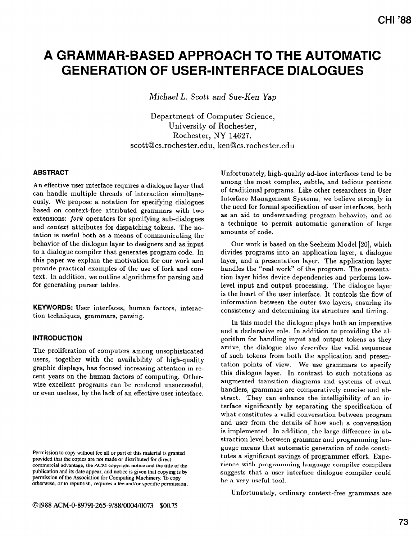# A GRAMMAR-BASED APPROACH TO THE AUTOMATIC GENERATION OF USER-INTERFACE DIALOGUES

Michael L. Scott and Sue-Ken Yap

Department of Computer Science, University of Rochester, Rochester, NY 14627. scott@cs.rochester.edu, ken@cs.rochester.edu

### ABSTRACT

An effective user interface requires a dialogue layer that can handle multiple threads of interaction simultaneously. We propose a notation for specifying dialogues based on context-free attributed grammars with two extensions: fork operators for specifying sub-dialogues and *context* attributes for dispatching tokens. The notation is useful both as a means of communicating the behavior of the dialogue layer to designers and as input to a dialogue compiler that generates program code. In this paper we explain the motivation for our work and provide practical examples of the use of fork and context. In addition, we outline algorithms for parsing and for generating parser tables.

KEYWORDS: User interfaces, human factors, interaction techniques, grammars, parsing.

### **INTRODUCTION**

The proliferation of computers among unsophisticated users, together with the availability of high-quality graphic displays, has focused increasing attention in recent years on the human factors of computing. Otherwise excellent programs can be rendered unsuccessful, or even useless, by the lack of an effective user interface.

Unfortunately, high-quality ad-hoc interfaces tend to be among the most complex, subtle, and tedious portions of traditional programs. Like other researchers in User Interface Management Systems, we believe strongly in the need for formal specification of user interfaces, both as an aid to understanding program behavior, and as a technique to permit automatic generation of large amounts of code.

Our work is based on the Seeheim Model [20], which divides programs into an application layer, a dialogue layer, and a presentation layer. The application layer handies the "real work" of the program. The presentation layer hides device dependencies and performs lowlevel input and output processing. The dialogue layer is the heart of the user interface. It controls the flow of information between the outer two layers, ensuring its consistency and determining its structure and timing.

In this model the dialogue plays both an imperative and a declarative role. In addition to providing the algorithm for handling input and output tokens as they arrive, the dialogue also describes the valid sequences of such tokens from both the application and presentation points of view. We use grammars to specify this dialogue layer. In contrast to such notations as augmented transition diagrams and systems of event handlers, grammars are comparatively concise and abstract. They can enhance the intelligibility of an interface significantly by separating the specification of what constitutes a valid conversation between program and user from the details of how such a conversation is implemented. In addition, the large difference in abstraction level between grammar and programming language means that automatic generation of code constitutes a significant savings of programmer effort. Experience with programming language compiler compilers suggests that a user interface dialogue compiler could be a very useful tool.

Unfortunately, ordinary context-free grammars are

Permission to copy without fee all or part of this material is granted provided that the copies are not made or distributed for direct commercial advantage, the ACM copyright notice and the title of the publication and its date appear, and notice is given that copying is by permission of the Association for Computing Machinery. To copy otherwise, or to republish, requires a fee and/or specific permission.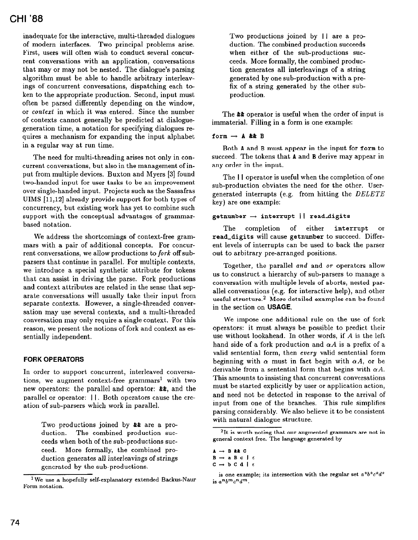### CHI '88

inadequate for the interactive, multi-threaded dialogues of modern interfaces. Two principal problems arise. First, users will often wish to conduct several concurrent conversations with an application, conversations that may or may not be nested. The dialogue's parsing algorithm must be able to handle arbitrary interleavings of concurrent conversations, dispatching each token to the appropriate production. Second, input must often be parsed differently depending on the window, or context in which it was entered. Since the number of contexts cannot generally be predicted at dialoguegeneration time, a notation for specifying dialogues requires a mechanism for expanding the input alphabet in a regular way at run time.

The need for multi-threading arises not only in concurrent conversations, but also in the management of input from multiple devices. Buxton and Myers [3] found two-handed input for user tasks to be an improvement over single-handed input. Projects such as the Sassafras UIMS [11,12] already provide support for both types of concurrency, but existing work has yet to combine such support with the conceptual advantages of grammarbased notation.

We address the shortcomings of context-free grammars with a pair of additional concepts. For concurrent conversations, we allow productions to fork off subparsers that continue in parallel. For multiple contexts, we introduce a special synthetic attribute for tokens that can assist in driving the parse. Fork productions and context attributes are related in the sense that separate conversations will usually take their input from separate contexts. However, a single-threaded conversation may use several contexts, and a multi-threaded conversation may only require a single context. For this reason, we present the notions of fork and context as essentially independent.

### FORK OPERATORS

In order to support concurrent, interleaved conversations, we augment context-free grammars' with two new operators: the parallel and operator:  $\&x$ , and the parallel or operator:  $|| \cdot ||$ . Both operators cause the creation of sub-parsers which work in parallel.

> Two productions joined by && are a production. The combined production succeeds when both of the sub-productions succeed. More formally, the combined production generates all interleavings of strings generated by the sub-productions.

Two productions joined by II are a production. The combined production succeeds when either of the sub-productions succeeds. More formally, the combined production generates all interleavings of a string generated by one sub-production with a prefix of a string generated by the other sulbproduction.

The && operator is useful when the order of input is immaterial. Filling in a form is one example:

### form  $\rightarrow$  A && B

Both A and B must appear in the input for form to succeed. The tokens that  $A$  and  $B$  derive may appear in any order in the input.

The  $\vert\vert$  1 operator is useful when the completion of one sub-production obviates the need for the other. Usergenerated interrupts (e.g. from hitting the  $DELETE$ key) are one example:

### getnumber  $\rightarrow$  interrupt || read digits

The completion of either interrupt or read\_digits will cause getnumber to succeed. Different levels of interrupts can be used to back the parser out to arbitrary pre-arranged positions.

Together, the parallel and and or operators allow us to construct a hierarchy of sub-parsers to manage a conversation with multiple levels of aborts, nested parallel conversations (e.g. for interactive help), and other useful structure.<sup>2</sup> More detailed examples can be found in the section on USAGE.

We impose one additional rule on the use of fork operators: it must always be possible to predict their use without lookahead. In other words, if A is the left hand side of a fork production and  $\alpha A$  is a prefix of a valid sentential form, then every valid sentential form beginning with  $\alpha$  must in fact begin with  $\alpha A$ , or be derivable from a sentential form that begins with  $\alpha A$ . This amounts to insisting that concurrent conversations must be started explicitly by user or application action, and need not be detected in response to the arrival of input from one of the branches. This rule simplifies parsing considerably. We also believe it to be consistent with natural dialogue structure.

<sup>1</sup> We use a hopefully self-esplanatory extended Backus-Naur Form notation.

 $2$ It is worth noting that our augmented grammars are not in general context free. The language generated by

 $A \rightarrow B$  and  $C$ 

 $\texttt{B}\ \rightarrow\ \texttt{a}\ \texttt{B}\ \texttt{c}\ \ensuremath{\dagger}\ \epsilon$ 

 $\texttt{C} \rightarrow \texttt{b} \texttt{C} \texttt{d} \texttt{I} \texttt{c}$ 

is one example; its intersection with the regular set  $a^*b^*c^*d^*$ is  $a^n b^m c^n d^m$ .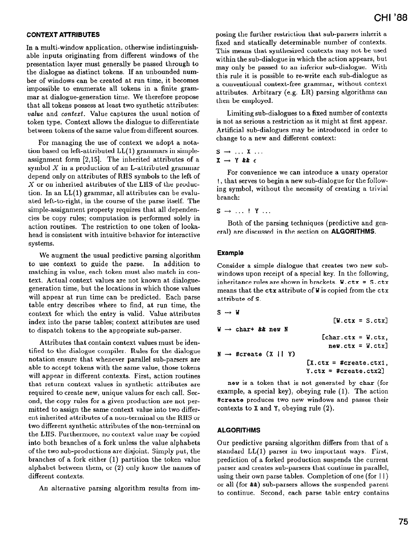### **CONTEXT ATTRIBUTES**

In a multi-window application, otherwise indistinguishable inputs originating from different windows of the presentation layer must generally be passed through to the dialogue as distinct tokens. If an unbounded number of windows can be created at run time, it becomes impossible to enumerate all tokens in a finite grammar at dialogue-generation time. We therefore propose that all tokens possess at least two synthetic attributes: value and context. Value captures the usual notion of token type. Context allows the dialogue to differentiate between tokens of the same value from different sources.

For managing the use of context we adopt a notation based on left-attributed LL( 1) grammars in simpleassignment form [2,15]. The inherited attributes of a symbol  $X$  in a production of an L-attributed grammar depend only on attributes of RHS symbols to the left of  $X$  or on inherited attributes of the LHS of the production. In an  $LL(1)$  grammar, all attributes can be evaluated left-to-right, in the course of the parse itself. The simple-assignment property requires that all dependencies be copy rules; computation is performed solely in action routines. The restriction to one token of lookahead is consistent with intuitive behavior for interactive systems.

We augment the usual predictive parsing algorithm to use context to guide the parse. In addition to matching in value, each token must also match in context. Actual context values are not known at dialoguegeneration time, but the locations in which those values will appear at run time can be predicted. Each parse table entry describes where to find, at run time, the context for which the entry is valid. Value attributes index into the parse tables; context attributes are used to dispatch tokens to the appropriate sub-parser.

Attributes that contain context values must be identified to the dialogue compiler. Rules for the dialogue notation ensure that whenever parallel sub-parsers are able to accept tokens with the same value, those tokens will appear in different contexts. First, action routines that return context values in synthetic attributes are required to create new, unique values for each call. Second, the copy rules for a given production are not permitted to assign the same context value into two different inherited attributes of a non-terminal on the RHS or two different synthetic attributes of the non-terminal on the LHS. Furthermore, no context value may be copied into both branches of a fork unless the value alphabets of the two sub-productions are disjoint. Simply put, the branches of a fork either (1) partition the token value alphabet between them, or (2) only know the names of different contexts.

An alternative parsing algorithm results from im-

posing the further restriction that sub-parsers inherit a fixed and statically determinable number of contexts. This means that synthesized contexts may not be used within the sub-dialogue in which the action appears, but may only be passed to an inferior sub-dialogue. With this rule it is possible to re-write each sub-dialogue as a conventional context-free grammar, without context attributes. Arbitrary (e.g. LR) parsing algorithms can then be employed.

Limiting sub-dialogues to a fixed number of contexts is not as serious a restriction as it might at first appear. Artificial sub-dialogues may be introduced in order to change to a new and different context:

 $S \rightarrow \ldots X \ldots$  $X \rightarrow Y$  & & c

For convenience we can introduce a unary operator ! , that serves to begin a new sub-dialogue for the following symbol, without the necessity of creating a trivial branch:

```
S \rightarrow \ldots ! Y \ldots
```
Both of the parsing techniques (predictive and general) are discussed in the section on ALGORITHMS.

#### Example

Consider a simple dialogue that creates two new subwindows upon receipt of a special key. In the following, inheritance rules are shown in brackets. W. ctx = S . ctx means that the ctx attribute of W is copied from the ctx attribute of S.

| $S \rightarrow V$                         |                           |
|-------------------------------------------|---------------------------|
|                                           | $[V.ctx = S.ctx]$         |
| $W \rightarrow char+ \&\&$ new N          |                           |
|                                           | [char.ctx = $W.$ ctx,     |
|                                           | $new.ctx = W.ctx$ ]       |
| $N \rightarrow$ #create $(X \mid \mid Y)$ |                           |
|                                           | $[X. ctx = #create.ctx1,$ |
|                                           | $Y.$ ctx = #create.ctx2]  |

new is a token that is not generated by char (for example, a special key), obeying rule (1). The action #create produces two new windows and passes their contexts to X and Y, obeying rule (2).

### ALGORITHMS

Our predictive parsing algorithm differs from that of a standard LL(l) parser in two important ways. First, prediction of a forked production suspends the current parser and creates sub-parsers that continue in parallel, using their own parse tables. Completion of one (for I 1) or all (for kk) sub-parsers allows the suspended parent to continue. Second, each parse table entry contains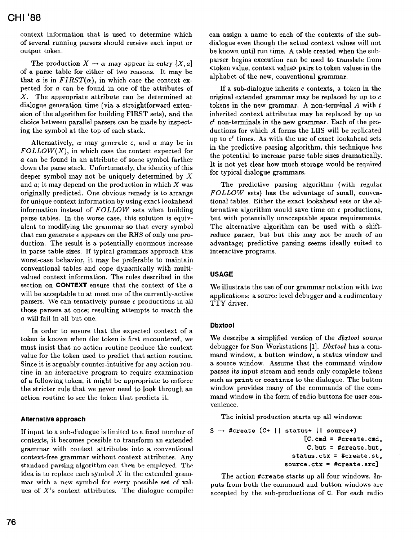### CHI '88

context information that is used to determine which of several running parsers should receive each input or output token.

The production  $X \to \alpha$  may appear in entry [X, a] of a parse table for either of two reasons. It may be that a is in  $FIRST(\alpha)$ , in which case the context expected for a can be found in one of the attributes of X. The appropriate attribute can be determined at dialogue generation time (via a straightforward extension of the algorithm for building FIRST sets), and the choice between parallel parsers can be made by inspecting the symbol at the top of each stack.

Alternatively,  $\alpha$  may generate  $\epsilon$ , and a may be in  $\textit{FOLLOW}(X)$ , in which case the context expected for a can be found in an attribute of some symbol farther down the parse stack. Unfortunately, the identity of this deeper symbol may not be uniquely determined by  $X$ and  $a$ ; it may depend on the production in which  $X$  was originally predicted. One obvious remedy is to arrange for unique context information by using exact lookahead information instead of FOLLOW sets when building parse tables. In the worse case, this solution is equivalent to modifying the grammar so that every symbol that can generate  $\epsilon$  appears on the RHS of only one production. The result is a potentially enormous increase in parse table sizes. If typical grammars approach this worst-case behavior, it may be preferable to maintain conventional tables and cope dynamically with multivalued context information. The rules described in the section on CONTEXT ensure that the context of the a will be acceptable to at most one of the currently-active parsers. We can tentatively pursue  $\epsilon$  productions in all those parsers at once; resulting attempts to match the a will fail in all but one.

In order to ensure that the expected context of a token is known when the token is first encountered, we must insist that no action routine produce the context value for the token used to predict that action routine. Since it is arguably counter-intuitive for any action routine in an interactive program to require examination of a following token, it might be appropriate to enforce the stricter rule that we never need to look through an action routine to see the token that predicts it.

### Alternative approach

If input to a sub-dialogue is limited to a fixed number of contexts, it becomes possible to transform an extended grammar with context attributes into a conventional context-free grammar without context attributes. Any standard parsing algorithm can then be employed. The idea is to replace each symbol X in the extended grammar with a new symbol for every possible set of values of  $X$ 's context attributes. The dialogue compiler

can assign a name to each of the contexts of the subdialogue even though the actual context values will not be known until run time. A table created when the subparser begins execution can be used to translate from <token value, context value> pairs to token values in the alphabet of the new, conventional grammar.

If a sub-dialogue inherits  $c$  contexts, a token in the original extended grammar may be replaced by up to  $c$ tokens in the new grammar. A non-terminal  $A$  with  $t$ inherited context attributes may be replaced by up to  $c<sup>t</sup>$  non-terminals in the new grammar. Each of the productions for which A forms the LHS will be replicated up to  $c<sup>t</sup>$  times. As with the use of exact lookahead sets in the predictive parsing algorithm, this technique has the potential to increase parse table sizes dramatically. It is not yet clear how much storage would be required for typical dialogue grammars.

The predictive parsing algorithm (with regular FOLLOW sets) has the advantage of small, conventional tables. Either the exact lookahead sets or the alternative algorithm would save time on  $\epsilon$  productions, but with potentially unacceptable space requirements. The alternative algorithm can be used with a shiftreduce parser, but but this may not be much of an advantage; predictive parsing seems ideally suited to interactive programs.

### USAGE

We illustrate the use of our grammar notation with two applications: a source level debugger and a rudimentary TTY driver.

### Dbxtool

We describe a simplified version of the dbxtool source debugger for Sun Workstations [1]. *Dbxtool* has a command window, a button window, a status window and a source window.. Assume that the command window parses its input stream and sends only complete tokens such as print or continue to the dialogue. The button window provides many of the commands of the command window in the form of radio buttons for user convenience.

The initial production starts up all windows:

```
S \rightarrow #create (C+ || status+ || source+)
               [C.cmd = #create.cmd, 
                C.but = #create.but, 
            status.ctx = #create.st,
         source.ctx = #create.src]
```
The action #create starts up all four windows. Inputs from both the command and button windows are accepted by the sub-productions of C. For each radio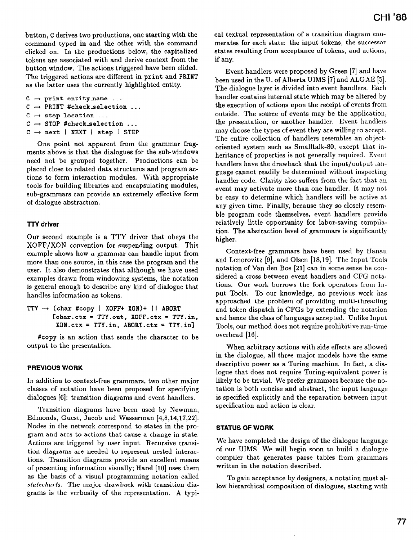button, c derives two productions, one starting with the command typed in and the other with the command clicked on. In the productions below, the capitalized tokens are associated with and derive context from the button window. The actions triggered have been elided. The triggered actions are different in print and PRINT as the latter uses the currently highlighted entity.

- $C \rightarrow print$  entity name ...
- $C \rightarrow PRINT$  #check\_selection ...
- $C \rightarrow$  stop location ...
- $C \rightarrow STOP$  #check\_selection ...
- $C \rightarrow next$  | NEXT | step | STEP

One point not apparent from the grammar fragments above is that the dialogues for the sub-windows need not be grouped together. Productions can be placed close to related data structures and program actions to form interaction modules. With appropriate tools for building libraries and encapsulating modules, sub-grammars can provide an extremely effective form of dialogue abstraction.

### TTY driver

Our second example is a TTY driver that obeys the XOFF/XON convention for suspending output. This example shows how a grammar can handle input from more than one source, in this case the program and the user. It also demonstrates that although we have used examples drawn from windowing systems, the notation is general enough to describe any kind of dialogue that handles information as tokens.

 $TTY \rightarrow (char #copy | XOFF+ XON)+ || ABORT$  $[char. ctx = TTY.out, XOFF. ctx = TTY.in,$  $XON.ctx = TTY.in, ABORT.ctx = TTY.in]$ 

#copy is an action that sends the character to be output to the presentation.

### PREVIOUS WORK

In addition to context-free grammars, two other major classes of notation have been proposed for specifying dialogues [6]: transition diagrams and event handlers.

Transition diagrams have been used by Newman, Edmonds, Guest, Jacob and Wasserman [4,8,14,17,22]. Nodes in the network correspond to states in the program and arcs to actions that cause a change in state. Actions are triggered by user input. Recursive transition diagrams are needed to represent nested interactions. Transition diagrams provide an excellent means of presenting information visually; Harel [10] uses them as the basis of a visual programming notation called statecharts. The major drawback with transition diagrams is the verbosity of the representation. A typical textual representation of a transition diagram enumerates for each state: the input tokens, the successor states resulting from acceptance of tokens, and actions, if any.

Event handlers were proposed by Green [7] and have been used in the U. of Alberta UIMS [7] and ALGAE [5]. The dialogue layer is divided into event handlers. Each handler contains internal state which may be altered by the execution of actions upon the receipt of events from outside. The source of events may be the application, the presentation, or another handler. Event handlers may choose the types of event they are willing to accept. The entire collection of handlers resembles an objectoriented system such as Smalltalk-80, except that inheritance of properties is not generally required. Event handlers have the drawback that the input/output language cannot readily be determined without inspecting handler code. Clarity also suffers from the fact that an event may activate more than one handler. It may not be easy to determine which handlers will be active at any given time. Finally, because they so closely resemble program code themselves, event handlers provide relatively little opportunity for labor-saving compilation. The abstraction level of grammars is significantly higher.

Context-free grammars have been used by Banau and Lenorovitz [9], and Olsen [18,19]. The Input Tools notation of Van den Bos [21] can in some sense be considered a cross between event handlers and CFG notations. Our work borrows the fork operators from Input Tools. To our knowledge, no previous work has approached the problem of providing multi-threading and token dispatch in CFGs by extending the notation and hence the class of languages accepted. Unlike Input Tools, our method does not require prohibitive run-time overhead [16].

When arbitrary actions with side effects are allowed in the dialogue, all three major models have the same descriptive power as a Turing machine. In fact, a dialogue that does not require Turing-equivalent power is likely to be trivial. We prefer grammars because the notation is both concise and abstract, the input language is specified explicitly and the separation between input specification and action is clear.

### STATUS OF WORK

We have completed the design of the dialogue language of our UIMS. We will begin soon to build a dialogue compiler that generates parse tables from grammars written in the notation described.

To gain acceptance by designers, a notation must allow hierarchical composition of dialogues, starting with